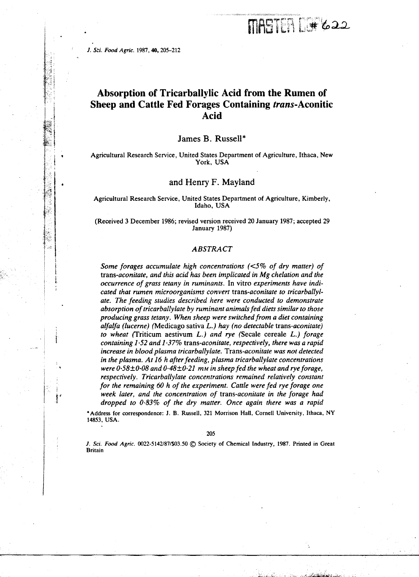#### *J. Sri. Food Agric.* 1987, **40,** 205-212

*•*

# **Absorption of Tricarballylic Acid from the Rumen of Sheep and Cattle Fed Forages Containing trans-Aconitic Acid**

MASTER D# 622

# James B. Russell\*

Agricultural Research Service, United States Department of Agriculture, Ithaca, New York, USA

## and Henry F. Mayland

Agricultural Research Service, United States Department of Agriculture, Kimberly, Idaho, USA

(Received 3 December 1986; revised version received 20 January 1987; accepted 29 January 1987)

## *ABSTRACT*

*Some forages accumulate high concentrations (<5% of dry matter) of trans-aconitate, and this acid has been implicated in Mg chelation and the occurrence of grass tetany in ruminants.* In vitro *experiments have indicated that rumen microorganisms convert trans-aconitate to tricarballylate. The feeding studies described here were conducted to demonstrate absorption of tricarballylate by ruminant animals fed diets similar to those producing grass tetany. When sheep were switched from a diet containing alfalfa (lucerne)* (Medicago sativa *L.) hay (no detectable trans-aconitate) to wheat* (Triticum aestivum *L.) and rye* (Secale cereale *L.) forage containing 1 .52 and 1 .37% trans-aconitate, respectively, there was a rapid increase in blood plasma tricarballylate. Trans-aconitate was not detected in the plasma. At 16 h after feeding, plasma tricarballylate concentrations were 0-58±0.08 and 0. 48±0.21 mm in sheep fed the wheat and rye forage, respectively. Tricarballylate concentrations remained relatively constant for the remaining 60 h of the experiment. Cattle were fed rye forage one week later, and the concentration of trans-aconitate in the forage had dropped to 0.83% of the dry matter. Once again there was a rapid*

\*Address for correspondence: J. B. Russell, 321 Morrison Hall, Cornell University, Ithaca, NY 14853, USA.

205

J. Sci. Food Agric. 0022-5142/87/\$03.50  $\circledcirc$  Society of Chemical Industry, 1987. Printed in Great Britain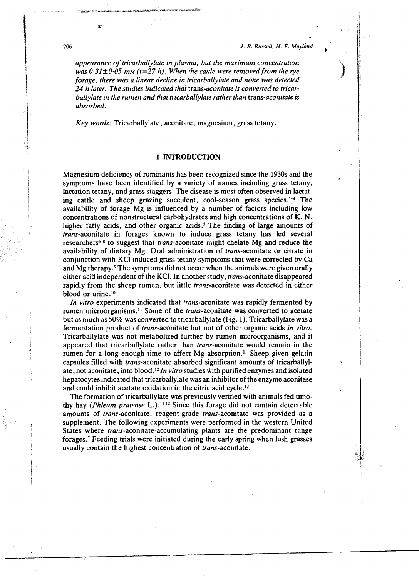206 *1. B. Russell, H. F. Mayland*

*appearance of tricarballylate in plasma, but the maximum concentration was 0.31±0.05 mm (t=27 h). When the cattle were removed from the rye forage, there was a linear decline in tricarballylate and none was detected 24 h later. The studies indicated that trans-aconitate is converted to tricarballylate in the rumen and that tricarballylate rather than trans-aconitate is absorbed.*

*Key words:* Tricarballylate, aconitate, magnesium, grass tetany.

# **1 INTRODUCTION**

Magnesium deficiency of ruminants has been recognized since the 1930s and the symptoms have been identified by a variety of names including grass tetany, lactation tetany, and grass staggers. The disease is most often observed in lactating cattle and sheep grazing succulent, cool-season grass species.<sup>1-4</sup> The availability of forage Mg is influenced by a number of factors including low concentrations of nonstructural carbohydrates and high concentrations of K, N, higher fatty acids, and other organic acids.<sup>5</sup> The finding of large amounts of trans-aconitate in forages known to induce grass tetany has led several researchers<sup>6-8</sup> to suggest that *trans*-aconitate might chelate Mg and reduce the availability of dietary Mg. Oral administration of trans-aconitate or citrate in conjunction with KCl induced grass tetany symptoms that were corrected by Ca and Mg therapy.° The symptoms did not occur when the animals were given orally either acid independent of the KCI. In another study, *trans*-aconitate disappeared rapidly from the sheep rumen, but little trans-aconitate was detected in either blood or urine.<sup>10</sup>

*In vitro* experiments indicated that trans-aconitate was rapidly fermented by rumen microorganisms.<sup>11</sup> Some of the *trans*-aconitate was converted to acetate but as much as 50% was converted to tricarballylate (Fig. 1). Tricarballylate was a fermentation product of trans-aconitate but not of other organic acids *in vitro.* Tricarballylate was not metabolized further by rumen microorganisms, and it appeared that tricarballylate rather than trans-aconitate would remain in the rumen for a long enough time to affect Mg absorption.<sup>11</sup> Sheep given gelatin capsules filled with trans-aconitate absorbed significant amounts of tricarballylate, not aconitate, into blood.<sup>12</sup> In vitro studies with purified enzymes and isolated hepatocytes indicated that tricarballylate was an inhibitor of the enzyme aconitase and could inhibit acetate oxidation in the citric acid cycle.<sup>12</sup>

The formation of tricarballylate was previously verified with animals fed timothy hay *(Phleum pratense L.)*.<sup>11,12</sup> Since this forage did not contain detectable amounts of trans-aconitate, reagent-grade trans-aconitate was provided as a supplement. The following experiments were performed in the western United States where trans-aconitate-accumulating plants are the predominant range forages.' Feeding trials were initiated during the early spring when lush grasses usually contain the highest concentration of *trans*-aconitate.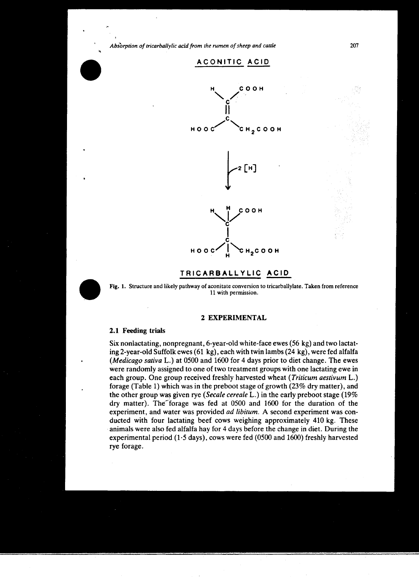## ACONITIC ACID



## **TRICARBALLYLIC ACID**



Fig. I. Structure and likely pathway of aconitate conversion to tricarballylate. Taken from reference 11 with permission.

## **2 EXPERIMENTAL**

#### **2.1 Feeding trials**

Six nonlactating, nonpregnant, 6-year-old white-face ewes (56 kg) and two lactating 2-year-old Suffolk ewes (61 kg), each with twin Iambs (24 kg), were fed alfalfa *(Medicago sativa* L.) at 0500 and 1600 for 4 days prior to diet change. The ewes were randomly assigned to one of two treatment groups with one lactating ewe in each group. One group received freshly harvested wheat *(Triticum aestivum* L.) forage (Table 1) which was in the preboot stage of growth (23% dry matter), and the other group was given rye *(Secale cereale* L.) in the early preboot stage (19% dry matter). The forage was fed at  $0500$  and  $1600$  for the duration of the experiment, and water was provided *ad libitum.* A second experiment was conducted with four lactating beef cows weighing approximately 410 kg. These animals were also fed alfalfa hay for 4 days before the change in diet. During the experimental period (1.5 days), cows were fed (0500 and 1600) freshly harvested rye forage.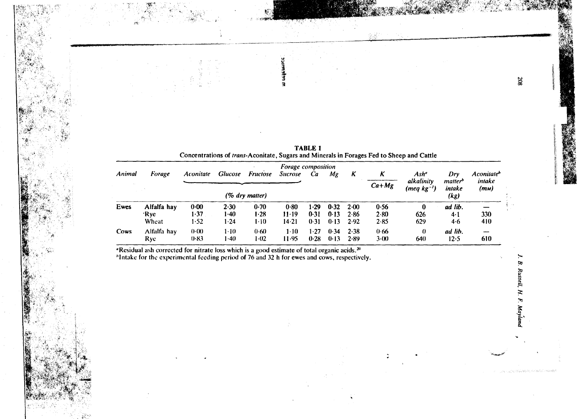| Forage composition |                              |                          |                       |                                   |                            |                      |                      |                      |                          |                                               |                                                     |                                             |
|--------------------|------------------------------|--------------------------|-----------------------|-----------------------------------|----------------------------|----------------------|----------------------|----------------------|--------------------------|-----------------------------------------------|-----------------------------------------------------|---------------------------------------------|
| Animal             | Forage                       | <b>Aconitate</b>         | <b>Glucose</b>        | <b>Fructose</b><br>(% dry matter) | <b>Sucrose</b>             | Ca                   | Mg                   | Κ                    | Κ<br>$Ca+Mg$             | Ash"<br>alkalinity<br>(meq kg <sup>-1</sup> ) | Dry<br><i>matter</i> <sup>b</sup><br>intake<br>(kg) | Aconitate <sup>b</sup><br>intake<br>$(m_M)$ |
|                    |                              |                          |                       |                                   |                            |                      |                      |                      |                          |                                               |                                                     |                                             |
| Ewes               | Alfalfa hay<br>'Rye<br>Wheat | $0 - 00$<br>1-37<br>1.52 | 2.30<br>l •40<br>1.24 | 0.70<br>1.28<br>1-10              | 0.80<br>$11 - 19$<br>14.21 | 1.29<br>0.31<br>0.31 | 0.32<br>0.13<br>0.13 | 2.00<br>2.86<br>2.92 | 0.56<br>2.80<br>$2 - 85$ | 0<br>626<br>629                               | ad lib.<br>$4-1$<br>4·6                             | 330<br>410                                  |
| Cows               | Alfalfa hay<br>Ryc           | $0-00$<br>0.83           | $1 - 10$<br>1-40      | 0.60<br>1.02                      | $1-10$<br>11.95            | 1.27<br>0.28         | 0.34<br>0.13         | 2.38<br>2.89         | 0.66<br>$3-(0)$          | 0<br>640                                      | ad lib.<br>$12-5$                                   | 610                                         |

**TABLE 1** Concentrations of trans-Aconitate, Sugars and Minerals in Forages Fed to Sheep and Cattle

清算

×

"Residual ash corrected for nitrate loss which is a good estimate of total organic acids.<sup>20</sup>

"Intake for the experimental feeding period of 76 and 32 h for ewes and cows, respectively.

 $\overline{\phantom{a}}$ 

B. Russell, H. F. Mayland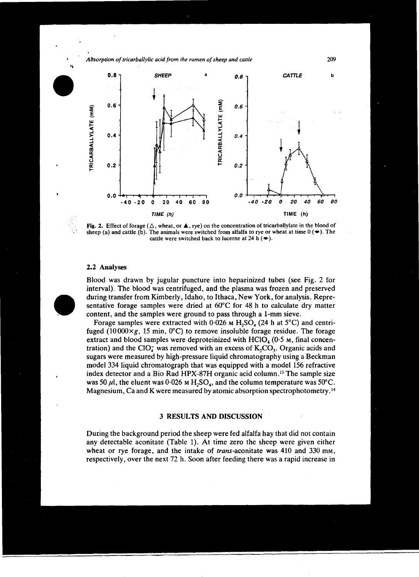

Fig. 2. Effect of forage ( $\Delta$ , wheat, or  $\blacktriangle$ , rye) on the concentration of tricarballylate in the blood of sheep (a) and cattle (b). The animals were switched from alfalfa to rye or wheat at time  $0 \rightarrow$ . The cattle were switched back to lucerne at  $24 h (\rightarrow)$ .

#### **2.2 Analyses**

**•**

Blood was drawn by jugular puncture into heparinized tubes (see Fig. 2 for interval). The blood was centrifuged, and the plasma was frozen and preserved during transfer from Kimberly, Idaho, to Ithaca, New York, for analysis. Representative forage samples were dried at 60°C for 48 h to calculate dry matter content, and the samples were ground to pass through a 1-mm sieve.

Forage samples were extracted with 0.026 *M* H<sub>2</sub>SO<sub>4</sub> (24 h at 5<sup>o</sup>C) and centrifuged (10000 $\times$ g, 15 min, 0°C) to remove insoluble forage residue. The forage extract and blood samples were deproteinized with  $HClO<sub>4</sub>$  (0.5 M, final concentration) and the ClO<sub>4</sub> was removed with an excess of  $K_2CO_3$ . Organic acids and sugars were measured by high-pressure liquid chromatography using a Beckman model 334 liquid chromatograph that was equipped with a model 156 refractive index detector and a Bio Rad HPX-87H organic acid column." The sample size was 50  $\mu$ l, the eluent was 0.026 *m* H<sub>2</sub>SO<sub>4</sub>, and the column temperature was 50°C. Magnesium, Ca and K were measured by atomic absorption spectrophotometry. <sup>14</sup>

## **3 RESULTS AND DISCUSSION**

During the background period the sheep were fed alfalfa hay that did not contain any detectable aconitate (Table 1). At time zero the sheep were given either wheat or rye forage, and the intake of trans-aconitate was 410 and 330 mm, respectively, over the next 72 h. Soon after feeding there was a rapid increase in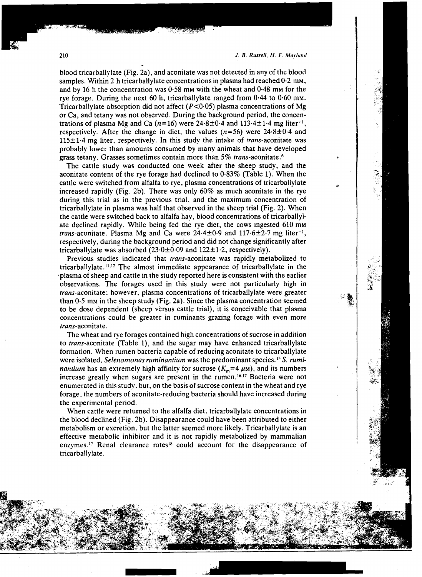blood tricarballylate (Fig. 2a), and aconitate was not detected in any of the blood samples. Within 2 h tricarballylate concentrations in plasma had reached  $0.2 \text{ mm}$ , and by 16 h the concentration was  $0.58$  mm with the wheat and  $0.48$  mm for the rye forage. During the next 60 h, tricarbally late ranged from  $0.44$  to  $0.60$  mm. Tricarballylate absorption did not affect ( $P < 0.05$ ) plasma concentrations of Mg or Ca, and tetany was not observed. During the background period, the concentrations of plasma Mg and Ca  $(n=16)$  were  $24.8 \pm 0.4$  and  $113.4 \pm 1.4$  mg liter<sup>-1</sup>, respectively. After the change in diet, the values  $(n=56)$  were 24.8 $\pm$ 0.4 and  $115 \pm 1.4$  mg liter, respectively. In this study the intake of *trans*-aconitate was probably lower than amounts consumed by many animals that have developed grass tetany. Grasses sometimes contain more than 5% trans-aconitate.<sup>6</sup>

The cattle study was conducted one week after the sheep study, and the aconitate content of the rye forage had declined to  $0.83\%$  (Table 1). When the cattle were switched from alfalfa to rye, plasma concentrations of tricarballylate increased rapidly (Fig. 2b). There was only 60% as much aconitate in the rye during this trial as in the previous trial, and the maximum concentration of tricarballylate in plasma was half that observed in the sheep trial (Fig. 2). When the cattle were switched back to alfalfa hay, blood concentrations of tricarballylate declined rapidly. While being fed the rye diet, the cows ingested 610 mm *trans-aconitate. Plasma Mg and Ca were 24.4* $\pm$ 0.9 and 117.6 $\pm$ 2.7 mg liter<sup>-1</sup>, respectively, during the background period and did not change significantly after tricarballylate was absorbed  $(23.0\pm0.09)$  and  $122\pm1.2$ , respectively).

Previous studies indicated that *trans-aconitate* was rapidly metabolized to tricarballylate.<sup>11,12</sup> The almost immediate appearance of tricarballylate in the •plasma of sheep and cattle in the study reported here is consistent with the earlier observations. The forages used in this study were not particularly high in trans-aconitate; however, plasma concentrations of tricarballylate were greater than  $0.5$  mm in the sheep study (Fig. 2a). Since the plasma concentration seemed to be dose dependent (sheep versus cattle trial), it is conceivable that plasma concentrations could be greater in ruminants grazing forage with even more trans-aconitate.

The wheat and rye forages contained high concentrations of sucrose in addition to trans-aconitate (Table 1), and the sugar may have enhanced tricarballylate formation. When rumen bacteria capable of reducing aconitate to tricarballylate were isolated, *Selenomonas ruminantium* was the predominant species.<sup>15</sup> S. *ruminantium* has an extremely high affinity for sucrose  $(K_m = 4 \mu M)$ , and its numbers increase greatly when sugars are present in the rumen.<sup>16,17</sup> Bacteria were not enumerated in this study. but, on the basis of sucrose content in the wheat and rye forage, the numbers of aconitate-reducing bacteria should have increased during the experimental period.

When cattle were returned to the alfalfa diet. tricarballylate concentrations in the blood declined (Fig. 2b). Disappearance could have been attributed to either metabolism or excretion. but the latter seemed more likely. Tricarballylate is an effective metabolic inhibitor and it is not rapidly metabolized by mammalian enzymes.'' Renal clearance rates's could account for the disappearance of tricarballylate.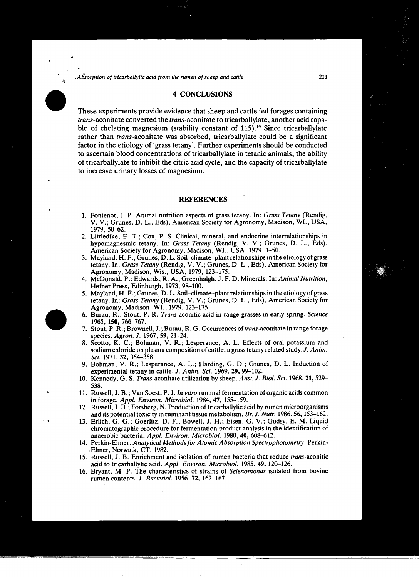*.Absorption of tricarballylic acid from the rumen of sheep and cattle* 211

#### 4 **CONCLUSIONS**

These experiments provide evidence that sheep and cattle fed forages containing trans-aconitate converted the trans-aconitate to tricarballylate, another acid capable of chelating magnesium (stability constant of 115). **<sup>19</sup>** Since tricarballylate rather than trans-aconitate was absorbed, tricarballylate could be a significant factor in the etiology of 'grass tetany'. Further experiments should be conducted to ascertain blood concentrations of tricarballylate in tetanic animals, the ability of tricarballylate to inhibit the citric acid cycle, and the capacity of tricarballylate to increase urinary losses of magnesium.

#### **REFERENCES**

- 1. Fontenot, J. P. Animal nutrition aspects of grass tetany. In: *Grass Tetany* (Rendig, V. V.; Grunes, D. L., Eds), American Society for Agronomy, Madison, WI., USA, 1979, 50-62.
- 2. Littledike, E. T.; Cox, P. S. Clinical, mineral, and endocrine interrelationships in hypomagnesmic tetany. In: *Grass Tetany* (Rendig, V. V.; Grunes, D. L., Eds), American Society for Agronomy, Madison, WI., USA, 1979, 1-50.
- 3. Mayland, H. F.; Grunes, D. L. Soil-climate-plant relationships in the etiology of grass tetany. In: *Grass Tetany* (Rendig, V. V.; Grunes, D. L., Eds), American Society for Agronomy, Madison, Wis., USA, 1979, 123-175.
- 4. McDonald, P.; Edwards, R. A.; Greenhalgh, J. F. D. Minerals. In: *Animal Nutrition,* Hefner Press, Edinburgh, 1973, 98-100.
- 5. Mayland, H. F.; Grunes, D. L. Soil-climate-plant relationships in the etiology of grass tetany. In: *Grass Tetany* (Rendig, V. V.; Grunes, D. L., Eds), American Society for Agronomy, Madison, WI., 1979, 123-175.
- 6. Burau, R.; Stout, P. R. Trans-aconitic acid in range grasses in early spring. *Science* 1965, 150, 766-767.
- 7. Stout, P. R.; Brownell, J.; Burau, R. G. Occurrences of trans-aconitate in range forage species. *Agron. J.* 1967, **59,** 21-24.
- 8. Scotto, K. C.; Bohman, V. R.; Lesperance, A. L. Effects of oral potassium and sodium chloride on plasma composition of cattle: a grass tetany related study. *J. Anim. Sci.* 1971, 32, 354-358.
- 9. Bohman, V. R.; Lesperance, A. L.; Harding, G. D.; Grunes, D. L. Induction of experimental tetany in cattle. *J. Anim. Sci.* 1969, 29, 99-102.
- 10. Kennedy, G. S. Trans-aconitate utilization by sheep. *Aust. J. Biol. Sci.* 1968, 21, 529- 538.
- 11. Russell, J. B.; Van Soest, P. J. *In vitro* ruminal fermentation of organic acids common in forage. *Appl. Environ. Microbiol.* 1984, 47, 155-159.
- 12. Russell, J. B.; Forsberg, N. Production of tricarballylic acid by rumen microorganisms and its potential toxicity in ruminant tissue metabolism. *Br. J. Nutr.* 1986, 56,153-162.
- 13. Erlich, G. G.; Goerlitz, D. F.; Bowel', J. H.; Eisen, G. V.; Godsy, E. M. Liquid chromatographic procedure for fermentation product analysis in the identification of anaerobic bacteria. *Appl. Environ. Microbiol.* 1980, **40,** 608-612.
- 14. Perkin-Elmer. *Analytical Methods for Atomic Absorption Spectrophotometry,* Perkin- •Elmer, Norwalk, CT, 1982.
- 15. Russell, J. B. Enrichment and isolation of rumen bacteria that reduce trans-aconitic acid to tricarballylic acid. *Appl. Environ. Microbiol.* 1985, **49,** 120-126.
- 16. Bryant, M. P. The characteristics of strains of *Selenomonas* isolated from bovine rumen contents. *J. Bacteriol.* 1956, 72, 162-167.

• •

•